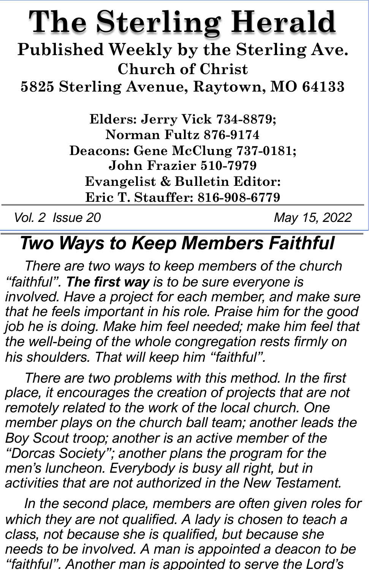# **The Sterling Herald**

**Published Weekly by the Sterling Ave. Church of Christ**

**5825 Sterling Avenue, Raytown, MO 64133**

**Elders: Jerry Vick 734-8879; Norman Fultz 876-9174 Deacons: Gene McClung 737-0181; John Frazier 510-7979 Evangelist & Bulletin Editor: Eric T. Stauffer: 816-908-6779**

*Vol. 2 Issue 20 May 15, 2022*

# *Two Ways to Keep Members Faithful*

*There are two ways to keep members of the church "faithful". The first way is to be sure everyone is involved. Have a project for each member, and make sure that he feels important in his role. Praise him for the good job he is doing. Make him feel needed; make him feel that the well-being of the whole congregation rests firmly on his shoulders. That will keep him "faithful".*

*There are two problems with this method. In the first place, it encourages the creation of projects that are not remotely related to the work of the local church. One member plays on the church ball team; another leads the Boy Scout troop; another is an active member of the "Dorcas Society"; another plans the program for the men's luncheon. Everybody is busy all right, but in activities that are not authorized in the New Testament.*

*In the second place, members are often given roles for which they are not qualified. A lady is chosen to teach a class, not because she is qualified, but because she needs to be involved. A man is appointed a deacon to be "faithful". Another man is appointed to serve the Lord's*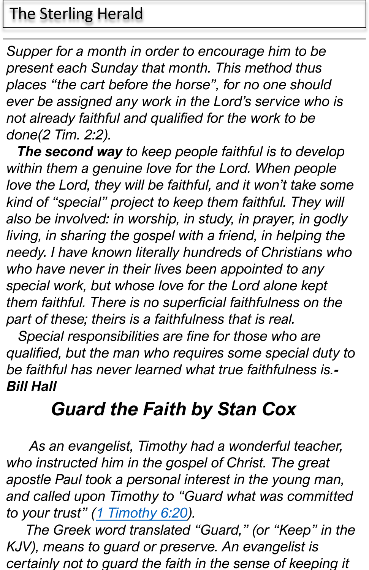#### The Sterling Herald

*Supper for a month in order to encourage him to be present each Sunday that month. This method thus places "the cart before the horse", for no one should ever be assigned any work in the Lord's service who is not already faithful and qualified for the work to be done(2 Tim. 2:2).*

*The second way to keep people faithful is to develop within them a genuine love for the Lord. When people love the Lord, they will be faithful, and it won't take some kind of "special" project to keep them faithful. They will also be involved: in worship, in study, in prayer, in godly living, in sharing the gospel with a friend, in helping the needy. I have known literally hundreds of Christians who who have never in their lives been appointed to any special work, but whose love for the Lord alone kept them faithful. There is no superficial faithfulness on the part of these; theirs is a faithfulness that is real.*

*Special responsibilities are fine for those who are qualified, but t[he man who req](https://www.blueletterbible.org/search/preSearch.cfm?Criteria=1Timothy+6.20&t=NKJV)uires some special duty to be faithful has never learned what true faithfulness is.- Bill Hall*

## *Guard the Faith by Stan Cox*

*As an evangelist, Timothy had a wonderful teacher, who instructed him in the gospel of Christ. The great apostle Paul took a personal interest in the young man, and called upon Timothy to "Guard what was committed to your trust" (1 Timothy 6:20).*

*The Greek word translated "Guard," (or "Keep" in the KJV), means to guard or preserve. An evangelist is certainly not to guard the faith in the sense of keeping it*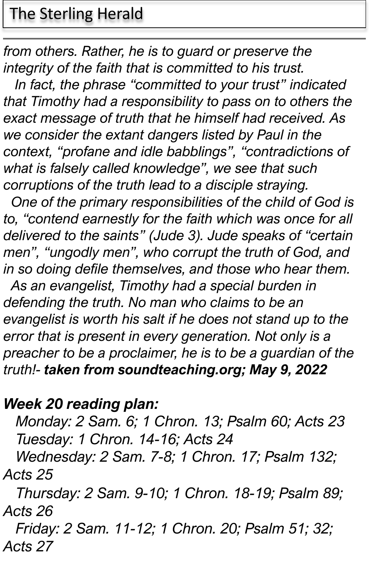### The Sterling Herald

*from others. Rather, he is to guard or preserve the integrity of the faith that is committed to his trust.*

*In fact, the phrase "committed to your trust" indicated that Timothy had a responsibility to pass on to others the exact message of truth that he himself had received. As we consider the extant dangers listed by Paul in the context, "profane and idle babblings", "contradictions of what is falsely called knowledge", we see that such corruptions of the truth lead to a disciple straying.*

*One of the primary responsibilities of the child of God is to, "contend earnestly for the faith which was once for all delivered to the saints" (Jude 3). Jude speaks of "certain men", "ungodly men", who corrupt the truth of God, and in so doing defile themselves, and those who hear them.*

*As an evangelist, Timothy had a special burden in defending the truth. No man who claims to be an evangelist is worth his salt if he does not stand up to the error that is present in every generation. Not only is a preacher to be a proclaimer, he is to be a guardian of the truth!- taken from soundteaching.org; May 9, 2022*

#### *Week 20 reading plan:*

*Monday: 2 Sam. 6; 1 Chron. 13; Psalm 60; Acts 23 Tuesday: 1 Chron. 14-16; Acts 24*

*Wednesday: 2 Sam. 7-8; 1 Chron. 17; Psalm 132; Acts 25*

*Thursday: 2 Sam. 9-10; 1 Chron. 18-19; Psalm 89; Acts 26*

*Friday: 2 Sam. 11-12; 1 Chron. 20; Psalm 51; 32; Acts 27*